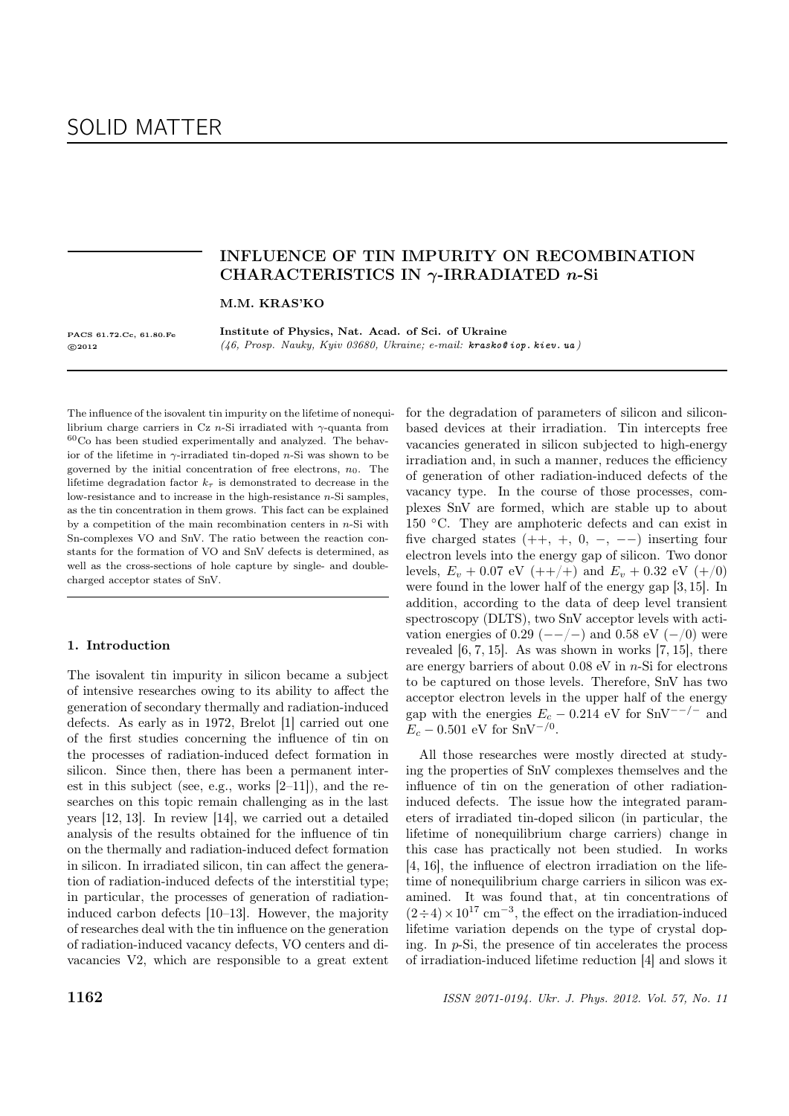# SOLID MATTER

# INFLUENCE OF TIN IMPURITY ON RECOMBINATION CHARACTERISTICS IN  $\gamma$ -IRRADIATED *n*-Si

M.M. KRAS'KO

PACS 61.72.Cc, 61.80.Fe c 2012

Institute of Physics, Nat. Acad. of Sci. of Ukraine (46, Prosp. Nauky, Kyiv 03680, Ukraine; e-mail: krasko@ iop. kiev. ua )

The influence of the isovalent tin impurity on the lifetime of nonequilibrium charge carriers in Cz n-Si irradiated with  $\gamma$ -quanta from  $60C$ o has been studied experimentally and analyzed. The behavior of the lifetime in  $\gamma$ -irradiated tin-doped *n*-Si was shown to be governed by the initial concentration of free electrons,  $n_0$ . The lifetime degradation factor  $k<sub>\tau</sub>$  is demonstrated to decrease in the low-resistance and to increase in the high-resistance  $n$ -Si samples, as the tin concentration in them grows. This fact can be explained by a competition of the main recombination centers in  $n$ -Si with Sn-complexes VO and SnV. The ratio between the reaction constants for the formation of VO and SnV defects is determined, as well as the cross-sections of hole capture by single- and doublecharged acceptor states of SnV.

## 1. Introduction

The isovalent tin impurity in silicon became a subject of intensive researches owing to its ability to affect the generation of secondary thermally and radiation-induced defects. As early as in 1972, Brelot [1] carried out one of the first studies concerning the influence of tin on the processes of radiation-induced defect formation in silicon. Since then, there has been a permanent interest in this subject (see, e.g., works  $[2-11]$ ), and the researches on this topic remain challenging as in the last years [12, 13]. In review [14], we carried out a detailed analysis of the results obtained for the influence of tin on the thermally and radiation-induced defect formation in silicon. In irradiated silicon, tin can affect the generation of radiation-induced defects of the interstitial type; in particular, the processes of generation of radiationinduced carbon defects [10–13]. However, the majority of researches deal with the tin influence on the generation of radiation-induced vacancy defects, VO centers and divacancies V2, which are responsible to a great extent

for the degradation of parameters of silicon and siliconbased devices at their irradiation. Tin intercepts free vacancies generated in silicon subjected to high-energy irradiation and, in such a manner, reduces the efficiency of generation of other radiation-induced defects of the vacancy type. In the course of those processes, complexes SnV are formed, which are stable up to about 150 ◦C. They are amphoteric defects and can exist in five charged states  $(++, +, 0, -, --)$  inserting four electron levels into the energy gap of silicon. Two donor levels,  $E_v + 0.07$  eV  $(++/+)$  and  $E_v + 0.32$  eV  $(+/0)$ were found in the lower half of the energy gap [3, 15]. In addition, according to the data of deep level transient spectroscopy (DLTS), two SnV acceptor levels with activation energies of 0.29 ( $-/-$ ) and 0.58 eV ( $-$ /0) were revealed [6, 7, 15]. As was shown in works [7, 15], there are energy barriers of about  $0.08$  eV in *n*-Si for electrons to be captured on those levels. Therefore, SnV has two acceptor electron levels in the upper half of the energy gap with the energies  $E_c - 0.214$  eV for SnV<sup>--/-</sup> and  $E_c - 0.501$  eV for SnV<sup>-/0</sup>.

All those researches were mostly directed at studying the properties of SnV complexes themselves and the influence of tin on the generation of other radiationinduced defects. The issue how the integrated parameters of irradiated tin-doped silicon (in particular, the lifetime of nonequilibrium charge carriers) change in this case has practically not been studied. In works [4, 16], the influence of electron irradiation on the lifetime of nonequilibrium charge carriers in silicon was examined. It was found that, at tin concentrations of  $(2 \div 4) \times 10^{17}$  cm<sup>-3</sup>, the effect on the irradiation-induced lifetime variation depends on the type of crystal doping. In p-Si, the presence of tin accelerates the process of irradiation-induced lifetime reduction [4] and slows it

**1162** ISSN 2071-0194. Ukr. J. Phys. 2012. Vol. 57, No. 11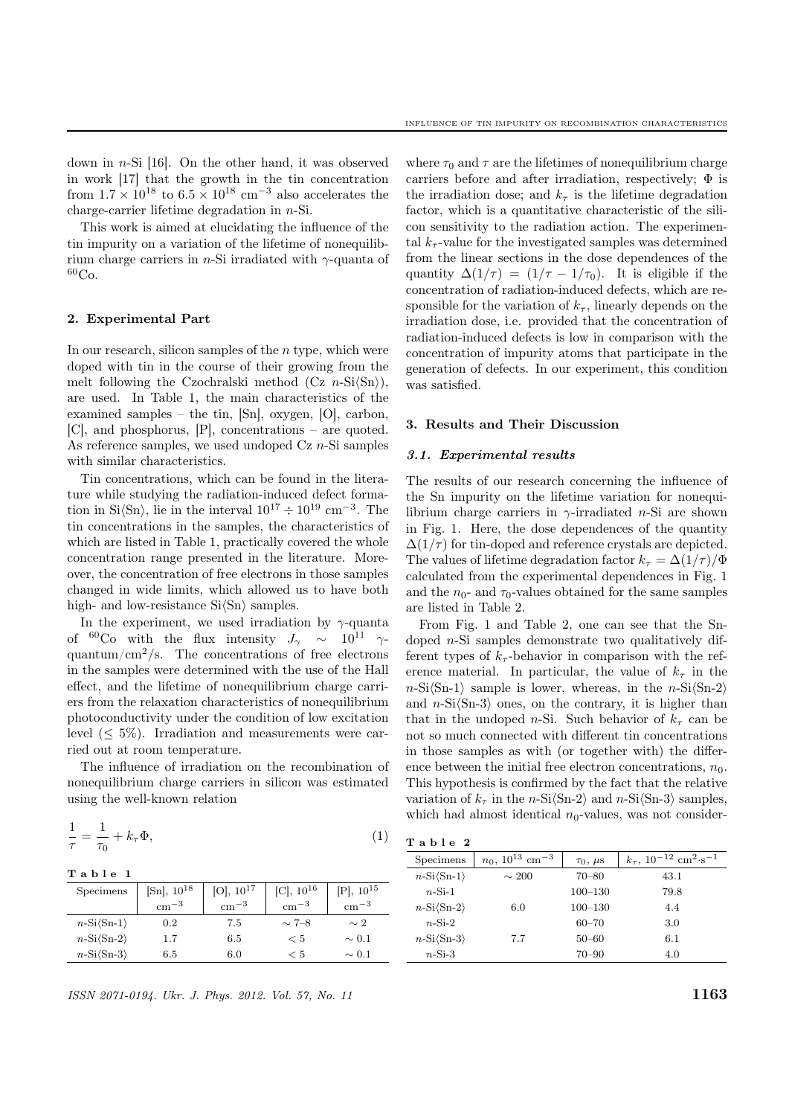down in n-Si [16]. On the other hand, it was observed in work [17] that the growth in the tin concentration from  $1.7 \times 10^{18}$  to  $6.5 \times 10^{18}$  cm<sup>-3</sup> also accelerates the charge-carrier lifetime degradation in n-Si.

This work is aimed at elucidating the influence of the tin impurity on a variation of the lifetime of nonequilibrium charge carriers in n-Si irradiated with  $\gamma$ -quanta of  ${}^{60}Co.$ 

## 2. Experimental Part

In our research, silicon samples of the  $n$  type, which were doped with tin in the course of their growing from the melt following the Czochralski method  $(Cz \ n-Si\langle Sn \rangle)$ , are used. In Table 1, the main characteristics of the examined samples – the tin, [Sn], oxygen, [O], carbon, [C], and phosphorus, [P], concentrations – are quoted. As reference samples, we used undoped  $Cz$  *n*-Si samples with similar characteristics.

Tin concentrations, which can be found in the literature while studying the radiation-induced defect formation in Si $\langle \mathrm{Sn} \rangle$ , lie in the interval  $10^{17} \div 10^{19}$  cm<sup>-3</sup>. The tin concentrations in the samples, the characteristics of which are listed in Table 1, practically covered the whole concentration range presented in the literature. Moreover, the concentration of free electrons in those samples changed in wide limits, which allowed us to have both high- and low-resistance  $Si\langle Sn \rangle$  samples.

In the experiment, we used irradiation by  $\gamma$ -quanta of <sup>60</sup>Co with the flux intensity  $J_{\gamma} \sim 10^{11} \gamma$ quantum/ $\rm cm^2/s$ . The concentrations of free electrons in the samples were determined with the use of the Hall effect, and the lifetime of nonequilibrium charge carriers from the relaxation characteristics of nonequilibrium photoconductivity under the condition of low excitation level  $(< 5\%)$ . Irradiation and measurements were carried out at room temperature.

The influence of irradiation on the recombination of nonequilibrium charge carriers in silicon was estimated using the well-known relation

$$
\frac{1}{\tau} = \frac{1}{\tau_0} + k_\tau \Phi,\tag{1}
$$

#### T a b l e 1

| Specimens                 | $[Sn], 10^{18}$ | $[O], 10^{17}$ | $[C], 10^{16}$ | $[P], 10^{15}$ |
|---------------------------|-----------------|----------------|----------------|----------------|
|                           | $\rm cm^{-3}$   | $\rm cm^{-3}$  | $\rm cm^{-3}$  | $\rm cm^{-3}$  |
| $n-Si\langle Sn-1\rangle$ | 0.2             | 7.5            | $\sim$ 7–8     | $\sim 2$       |
| $n-Si\langle Sn-2\rangle$ | 1.7             | 6.5            | < 5            | $\sim 0.1$     |
| $n-Si\langle Sn-3\rangle$ | 6.5             | 6.0            | < 5            | $\sim 0.1$     |

ISSN 2071-0194. Ukr. J. Phys. 2012. Vol. 57, No. 11  $1163$ 

where  $\tau_0$  and  $\tau$  are the lifetimes of nonequilibrium charge carriers before and after irradiation, respectively;  $\Phi$  is the irradiation dose; and  $k_{\tau}$  is the lifetime degradation factor, which is a quantitative characteristic of the silicon sensitivity to the radiation action. The experimental  $k_{\tau}$ -value for the investigated samples was determined from the linear sections in the dose dependences of the quantity  $\Delta(1/\tau) = (1/\tau - 1/\tau_0)$ . It is eligible if the concentration of radiation-induced defects, which are responsible for the variation of  $k_{\tau}$ , linearly depends on the irradiation dose, i.e. provided that the concentration of radiation-induced defects is low in comparison with the concentration of impurity atoms that participate in the generation of defects. In our experiment, this condition was satisfied.

## 3. Results and Their Discussion

## 3.1. Experimental results

The results of our research concerning the influence of the Sn impurity on the lifetime variation for nonequilibrium charge carriers in  $\gamma$ -irradiated *n*-Si are shown in Fig. 1. Here, the dose dependences of the quantity  $\Delta(1/\tau)$  for tin-doped and reference crystals are depicted. The values of lifetime degradation factor  $k_{\tau} = \Delta(1/\tau)/\Phi$ calculated from the experimental dependences in Fig. 1 and the  $n_0$ - and  $\tau_0$ -values obtained for the same samples are listed in Table 2.

From Fig. 1 and Table 2, one can see that the Sndoped n-Si samples demonstrate two qualitatively different types of  $k_{\tau}$ -behavior in comparison with the reference material. In particular, the value of  $k<sub>\tau</sub>$  in the  $n\text{-Si(Sn-1)}$  sample is lower, whereas, in the  $n\text{-Si(Sn-2)}$ and  $n-Si\langle Sn-3\rangle$  ones, on the contrary, it is higher than that in the undoped *n*-Si. Such behavior of  $k<sub>\tau</sub>$  can be not so much connected with different tin concentrations in those samples as with (or together with) the difference between the initial free electron concentrations,  $n_0$ . This hypothesis is confirmed by the fact that the relative variation of  $k_{\tau}$  in the n-Si $\langle$ Sn-2 $\rangle$  and n-Si $\langle$ Sn-3 $\rangle$  samples, which had almost identical  $n_0$ -values, was not consider-

|  | , |  | . . |  |
|--|---|--|-----|--|
|--|---|--|-----|--|

| таріе 4                                  |                                           |                    |                                                                 |
|------------------------------------------|-------------------------------------------|--------------------|-----------------------------------------------------------------|
| Specimens                                | $n_0$ , 10 <sup>13</sup> cm <sup>-3</sup> | $\tau_0$ , $\mu$ s | $k_{\tau}$ , 10 <sup>-12</sup> cm <sup>2</sup> ·s <sup>-1</sup> |
| $n-Si\langle Sn-1\rangle$                | $\sim 200$                                | $70 - 80$          | 43.1                                                            |
| $n-Si-1$                                 |                                           | $100 - 130$        | 79.8                                                            |
| $n-Si\langle Sn-2\rangle$                | 6.0                                       | $100 - 130$        | 4.4                                                             |
| $n-Si-2$                                 |                                           | $60 - 70$          | 3.0                                                             |
| $n\text{-Si}\langle\mathrm{Sn-3}\rangle$ | 7.7                                       | $50 - 60$          | 6.1                                                             |
| $n-Si-3$                                 |                                           | $70 - 90$          | 4.0                                                             |
|                                          |                                           |                    |                                                                 |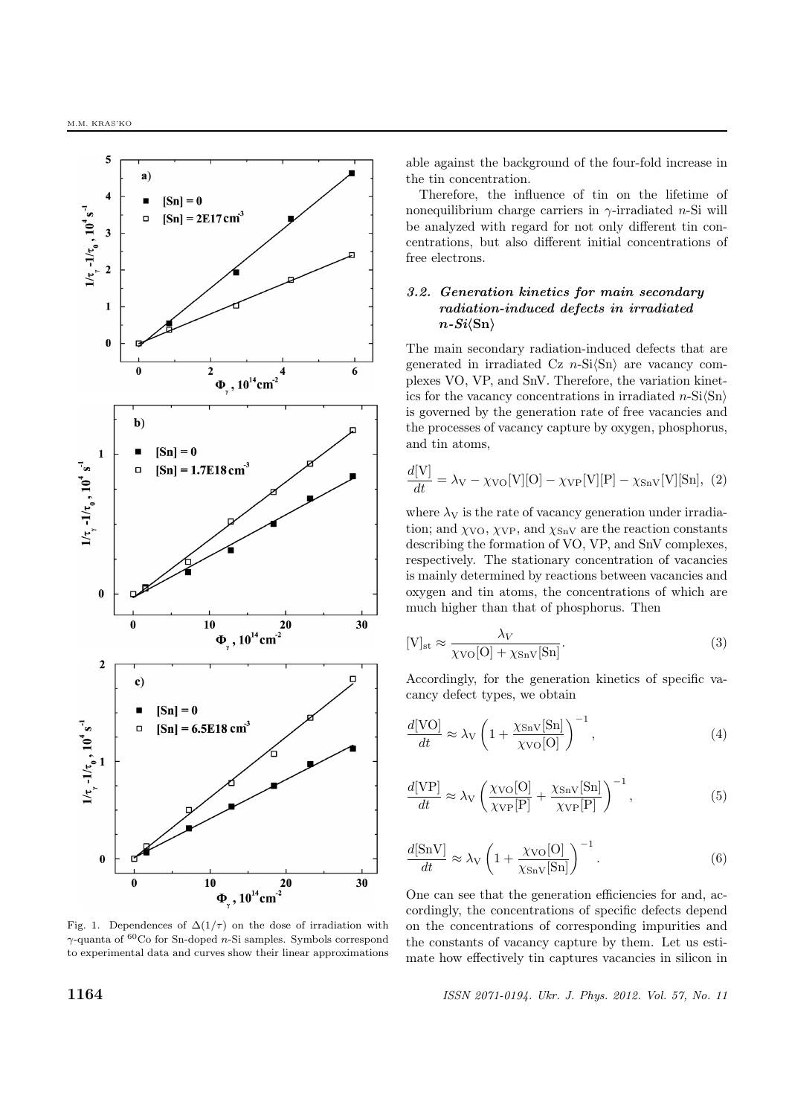

Fig. 1. Dependences of  $\Delta(1/\tau)$  on the dose of irradiation with  $\gamma$  quanta of  $^{60}\mathrm{Co}$  for Sn-doped  $n\text{-Si}$  samples. Symbols correspond to experimental data and curves show their linear approximations

able against the background of the four-fold increase in the tin concentration.

Therefore, the influence of tin on the lifetime of nonequilibrium charge carriers in  $\gamma$ -irradiated *n*-Si will be analyzed with regard for not only different tin concentrations, but also different initial concentrations of free electrons.

# 3.2. Generation kinetics for main secondary radiation-induced defects in irradiated  $n-Si\langle\mathrm{Sn}\rangle$

The main secondary radiation-induced defects that are generated in irradiated Cz  $n-Si(\text{Sn})$  are vacancy complexes VO, VP, and SnV. Therefore, the variation kinetics for the vacancy concentrations in irradiated  $n-Si\langle Sn \rangle$ is governed by the generation rate of free vacancies and the processes of vacancy capture by oxygen, phosphorus, and tin atoms,

$$
\frac{d[V]}{dt} = \lambda_V - \chi_{\text{VO}}[V][O] - \chi_{\text{VP}}[V][P] - \chi_{\text{SnV}}[V][Sn], (2)
$$

where  $\lambda_V$  is the rate of vacancy generation under irradiation; and  $\chi_{\text{VO}}$ ,  $\chi_{\text{VP}}$ , and  $\chi_{\text{SnV}}$  are the reaction constants describing the formation of VO, VP, and SnV complexes, respectively. The stationary concentration of vacancies is mainly determined by reactions between vacancies and oxygen and tin atoms, the concentrations of which are much higher than that of phosphorus. Then

$$
[V]_{st} \approx \frac{\lambda_V}{\chi_{\text{VO}}[O] + \chi_{\text{SnV}}[Sn]}.
$$
\n(3)

Accordingly, for the generation kinetics of specific vacancy defect types, we obtain

$$
\frac{d[VO]}{dt} \approx \lambda_V \left( 1 + \frac{\chi_{\rm SnV}[\rm Sn]}{\chi_{\rm VO}[O]} \right)^{-1},\tag{4}
$$

$$
\frac{d[\text{VP}]}{dt} \approx \lambda_{\text{V}} \left( \frac{\chi_{\text{VO}}[\text{O}]}{\chi_{\text{VP}}[\text{P}]} + \frac{\chi_{\text{SnV}}[\text{Sn}]}{\chi_{\text{VP}}[\text{P}]} \right)^{-1},\tag{5}
$$

$$
\frac{d[\text{SnV}]}{dt} \approx \lambda \sqrt{1 + \frac{\chi \text{vo}[O]}{\chi \text{SnV}[\text{Sn}]} } \bigg)^{-1}.
$$
\n(6)

One can see that the generation efficiencies for and, accordingly, the concentrations of specific defects depend on the concentrations of corresponding impurities and the constants of vacancy capture by them. Let us estimate how effectively tin captures vacancies in silicon in

1164 ISSN 2071-0194. Ukr. J. Phys. 2012. Vol. 57, No. 11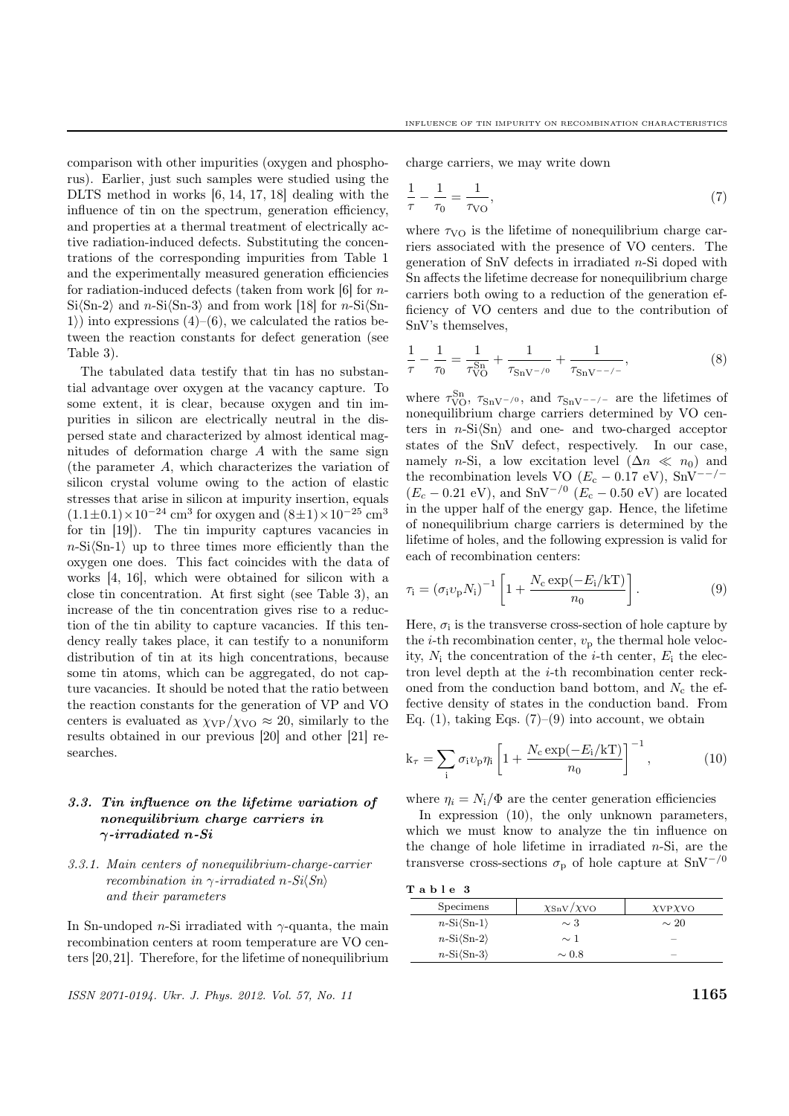comparison with other impurities (oxygen and phosphorus). Earlier, just such samples were studied using the DLTS method in works [6, 14, 17, 18] dealing with the influence of tin on the spectrum, generation efficiency, and properties at a thermal treatment of electrically active radiation-induced defects. Substituting the concentrations of the corresponding impurities from Table 1 and the experimentally measured generation efficiencies for radiation-induced defects (taken from work [6] for n- $Si\langle Sn-2\rangle$  and n-Si $\langle Sn-3\rangle$  and from work [18] for n-Si $\langle Sn-3\rangle$ 1) into expressions  $(4)$ – $(6)$ , we calculated the ratios between the reaction constants for defect generation (see Table 3).

The tabulated data testify that tin has no substantial advantage over oxygen at the vacancy capture. To some extent, it is clear, because oxygen and tin impurities in silicon are electrically neutral in the dispersed state and characterized by almost identical magnitudes of deformation charge A with the same sign (the parameter A, which characterizes the variation of silicon crystal volume owing to the action of elastic stresses that arise in silicon at impurity insertion, equals  $(1.1 \pm 0.1) \times 10^{-24}$  cm<sup>3</sup> for oxygen and  $(8 \pm 1) \times 10^{-25}$  cm<sup>3</sup> for tin [19]). The tin impurity captures vacancies in  $n\text{-Si}(Sn-1)$  up to three times more efficiently than the oxygen one does. This fact coincides with the data of works [4, 16], which were obtained for silicon with a close tin concentration. At first sight (see Table 3), an increase of the tin concentration gives rise to a reduction of the tin ability to capture vacancies. If this tendency really takes place, it can testify to a nonuniform distribution of tin at its high concentrations, because some tin atoms, which can be aggregated, do not capture vacancies. It should be noted that the ratio between the reaction constants for the generation of VP and VO centers is evaluated as  $\chi_{VP}/\chi_{VO} \approx 20$ , similarly to the results obtained in our previous [20] and other [21] researches.

# 3.3. Tin influence on the lifetime variation of nonequilibrium charge carriers in  $\gamma$ -irradiated n-Si

## 3.3.1. Main centers of nonequilibrium-charge-carrier recombination in  $\gamma$ -irradiated n-Si $\langle Sn \rangle$ and their parameters

In Sn-undoped *n*-Si irradiated with  $\gamma$ -quanta, the main recombination centers at room temperature are VO centers [20,21]. Therefore, for the lifetime of nonequilibrium

ISSN 2071-0194. Ukr. J. Phys. 2012. Vol. 57, No. 11  $1165$ 

charge carriers, we may write down

$$
\frac{1}{\tau} - \frac{1}{\tau_0} = \frac{1}{\tau_{\text{VO}}},\tag{7}
$$

where  $\tau_{\rm VO}$  is the lifetime of nonequilibrium charge carriers associated with the presence of VO centers. The generation of SnV defects in irradiated n-Si doped with Sn affects the lifetime decrease for nonequilibrium charge carriers both owing to a reduction of the generation efficiency of VO centers and due to the contribution of SnV's themselves,

$$
\frac{1}{\tau} - \frac{1}{\tau_0} = \frac{1}{\tau_{\text{VO}}^{\text{Sn}}} + \frac{1}{\tau_{\text{SnV}^{-/0}}} + \frac{1}{\tau_{\text{SnV}^{--/-}}},\tag{8}
$$

where  $\tau_{\text{VO}}^{\text{Sn}}, \tau_{\text{SnV}^-}/\text{o}$ , and  $\tau_{\text{SnV}^-}/\text{o}$  are the lifetimes of nonequilibrium charge carriers determined by VO centers in  $n-Si\langle Sn \rangle$  and one- and two-charged acceptor states of the SnV defect, respectively. In our case, namely *n*-Si, a low excitation level  $(\Delta n \ll n_0)$  and the recombination levels VO ( $E_c - 0.17$  eV), SnV<sup>--/-</sup>  $(E_c - 0.21 \text{ eV})$ , and SnV<sup>-/0</sup> ( $E_c - 0.50 \text{ eV}$ ) are located in the upper half of the energy gap. Hence, the lifetime of nonequilibrium charge carriers is determined by the lifetime of holes, and the following expression is valid for each of recombination centers:

$$
\tau_{\rm i} = (\sigma_{\rm i} v_{\rm p} N_{\rm i})^{-1} \left[ 1 + \frac{N_{\rm c} \exp(-E_{\rm i}/\mathrm{k} \mathrm{T})}{n_0} \right]. \tag{9}
$$

Here,  $\sigma_i$  is the transverse cross-section of hole capture by the *i*-th recombination center,  $v_p$  the thermal hole velocity,  $N_i$  the concentration of the *i*-th center,  $E_i$  the electron level depth at the i-th recombination center reckoned from the conduction band bottom, and  $N_c$  the effective density of states in the conduction band. From Eq. (1), taking Eqs.  $(7)-(9)$  into account, we obtain

$$
k_{\tau} = \sum_{i} \sigma_{i} v_{p} \eta_{i} \left[ 1 + \frac{N_{c} \exp(-E_{i}/kT)}{n_{0}} \right]^{-1}, \qquad (10)
$$

where  $\eta_i = N_i/\Phi$  are the center generation efficiencies

In expression (10), the only unknown parameters, which we must know to analyze the tin influence on the change of hole lifetime in irradiated  $n-Si$ , are the transverse cross-sections  $\sigma_p$  of hole capture at SnV<sup>-/0</sup>

T a b l e 3

| Specimens                 | $\chi_{\text{SnV}}/\chi_{\text{VO}}$ | XVPXVO    |
|---------------------------|--------------------------------------|-----------|
| $n-Si\langle Sn-1\rangle$ | $\sim$ 3                             | $\sim 20$ |
| $n-Si\langle Sn-2\rangle$ | $\sim$ 1                             |           |
| $n-Si\langle Sn-3\rangle$ | $\sim 0.8$                           | _         |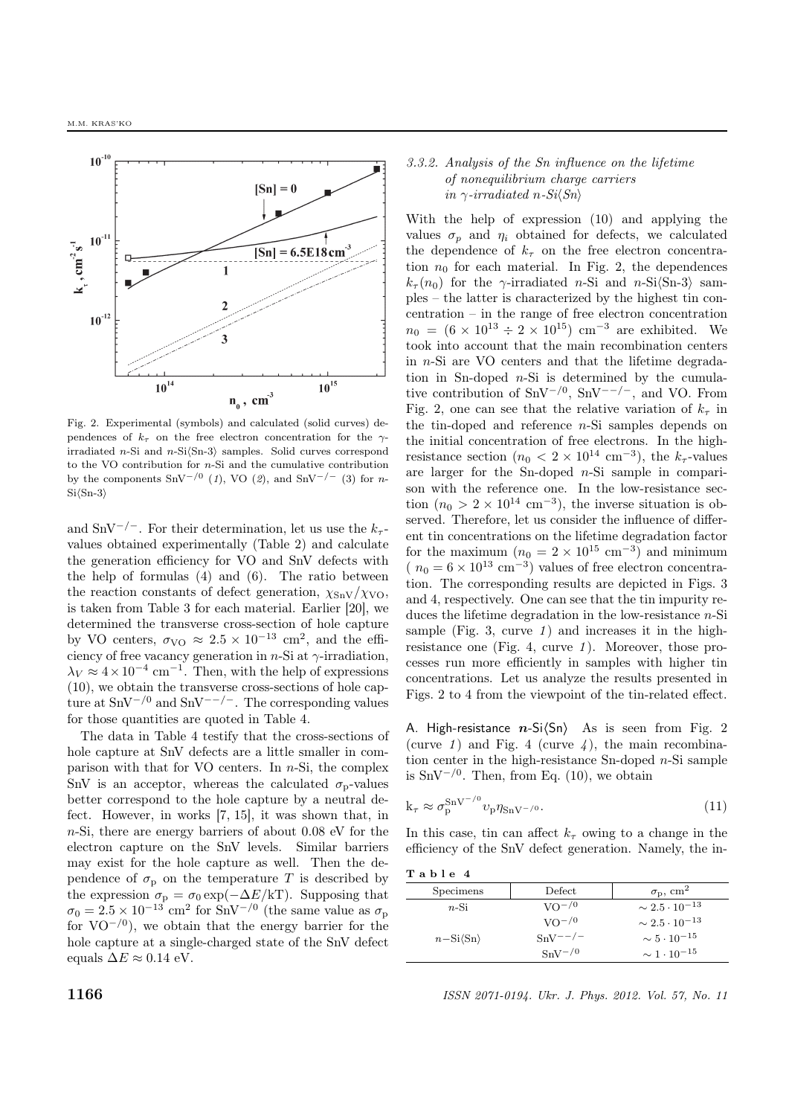

Fig. 2. Experimental (symbols) and calculated (solid curves) dependences of  $k_{\tau}$  on the free electron concentration for the  $\gamma$ irradiated n-Si and n-Si $\langle$ Sn-3 $\rangle$  samples. Solid curves correspond to the VO contribution for  $n$ -Si and the cumulative contribution by the components SnV<sup>-/0</sup> (1), VO (2), and SnV<sup>-/-</sup> (3) for n- $Si(Sn-3)$ 

and SnV<sup>-/-</sup>. For their determination, let us use the  $k_{\tau}$ values obtained experimentally (Table 2) and calculate the generation efficiency for VO and SnV defects with the help of formulas (4) and (6). The ratio between the reaction constants of defect generation,  $\chi_{\text{SnV}}/\chi_{\text{VO}}$ , is taken from Table 3 for each material. Earlier [20], we determined the transverse cross-section of hole capture by VO centers,  $\sigma_{\text{VO}} \approx 2.5 \times 10^{-13} \text{ cm}^2$ , and the efficiency of free vacancy generation in  $n$ -Si at  $\gamma$ -irradiation,  $\lambda_V \approx 4 \times 10^{-4}$  cm<sup>-1</sup>. Then, with the help of expressions (10), we obtain the transverse cross-sections of hole capture at  $\text{SnV}^{-1/0}$  and  $\text{SnV}^{-1/0}$ . The corresponding values for those quantities are quoted in Table 4.

The data in Table 4 testify that the cross-sections of hole capture at SnV defects are a little smaller in comparison with that for VO centers. In  $n-Si$ , the complex SnV is an acceptor, whereas the calculated  $\sigma_{\rm p}$ -values better correspond to the hole capture by a neutral defect. However, in works [7, 15], it was shown that, in n-Si, there are energy barriers of about 0.08 eV for the electron capture on the SnV levels. Similar barriers may exist for the hole capture as well. Then the dependence of  $\sigma_{\rm p}$  on the temperature T is described by the expression  $\sigma_{\rm p} = \sigma_0 \exp(-\Delta E/kT)$ . Supposing that  $\sigma_0 = 2.5 \times 10^{-13}$  cm<sup>2</sup> for SnV<sup>-/0</sup> (the same value as  $\sigma_p$ for  $VO<sup>-/0</sup>$ , we obtain that the energy barrier for the hole capture at a single-charged state of the SnV defect equals  $\Delta E \approx 0.14$  eV.

## 3.3.2. Analysis of the Sn influence on the lifetime of nonequilibrium charge carriers in  $\gamma$ -irradiated n-Si $\langle Sn \rangle$

With the help of expression (10) and applying the values  $\sigma_p$  and  $\eta_i$  obtained for defects, we calculated the dependence of  $k_{\tau}$  on the free electron concentration  $n_0$  for each material. In Fig. 2, the dependences  $k_{\tau}(n_0)$  for the  $\gamma$ -irradiated n-Si and n-Si $\langle$ Sn-3 $\rangle$  samples – the latter is characterized by the highest tin concentration – in the range of free electron concentration  $n_0 = (6 \times 10^{13} \div 2 \times 10^{15})$  cm<sup>-3</sup> are exhibited. We took into account that the main recombination centers in n-Si are VO centers and that the lifetime degradation in Sn-doped  $n-Si$  is determined by the cumulative contribution of  $\text{SnV}^{-/0}$ ,  $\text{SnV}^{--/-}$ , and VO. From Fig. 2, one can see that the relative variation of  $k<sub>\tau</sub>$  in the tin-doped and reference  $n-Si$  samples depends on the initial concentration of free electrons. In the highresistance section  $(n_0 < 2 \times 10^{14} \text{ cm}^{-3})$ , the  $k_{\tau}$ -values are larger for the Sn-doped  $n-Si$  sample in comparison with the reference one. In the low-resistance section  $(n_0 > 2 \times 10^{14} \text{ cm}^{-3})$ , the inverse situation is observed. Therefore, let us consider the influence of different tin concentrations on the lifetime degradation factor for the maximum  $(n_0 = 2 \times 10^{15} \text{ cm}^{-3})$  and minimum (  $n_0 = 6 \times 10^{13}$  cm<sup>-3</sup>) values of free electron concentration. The corresponding results are depicted in Figs. 3 and 4, respectively. One can see that the tin impurity reduces the lifetime degradation in the low-resistance  $n$ -Si sample (Fig. 3, curve  $1$ ) and increases it in the highresistance one (Fig. 4, curve 1). Moreover, those processes run more efficiently in samples with higher tin concentrations. Let us analyze the results presented in Figs. 2 to 4 from the viewpoint of the tin-related effect.

A. High-resistance  $n-Si(\text{Sn})$  As is seen from Fig. 2 (curve 1) and Fig. 4 (curve 4), the main recombination center in the high-resistance Sn-doped  $n$ -Si sample is SnV<sup> $-/-0$ </sup>. Then, from Eq. (10), we obtain

$$
k_{\tau} \approx \sigma_p^{SnV^{-/0}} v_p \eta_{SnV^{-/0}}.\tag{11}
$$

In this case, tin can affect  $k<sub>\tau</sub>$  owing to a change in the efficiency of the SnV defect generation. Namely, the in-

T a b l e 4

| 1 u v 1 v 1              |                 |                                    |
|--------------------------|-----------------|------------------------------------|
| Specimens                | Defect          | $\sigma_{\rm p}$ , cm <sup>2</sup> |
| $n-Si$                   | $\rm{VO}^{-/0}$ | $\sim 2.5 \cdot 10^{-13}$          |
|                          | $VO^{-/0}$      | $\sim 2.5 \cdot 10^{-13}$          |
| $n-Si\langle Sn \rangle$ | $SnV^{--/-}$    | $\sim 5 \cdot 10^{-15}$            |
|                          | $SnV^{-/0}$     | $\sim 1 \cdot 10^{-15}$            |

**1166** ISSN 2071-0194. Ukr. J. Phys. 2012. Vol. 57, No. 11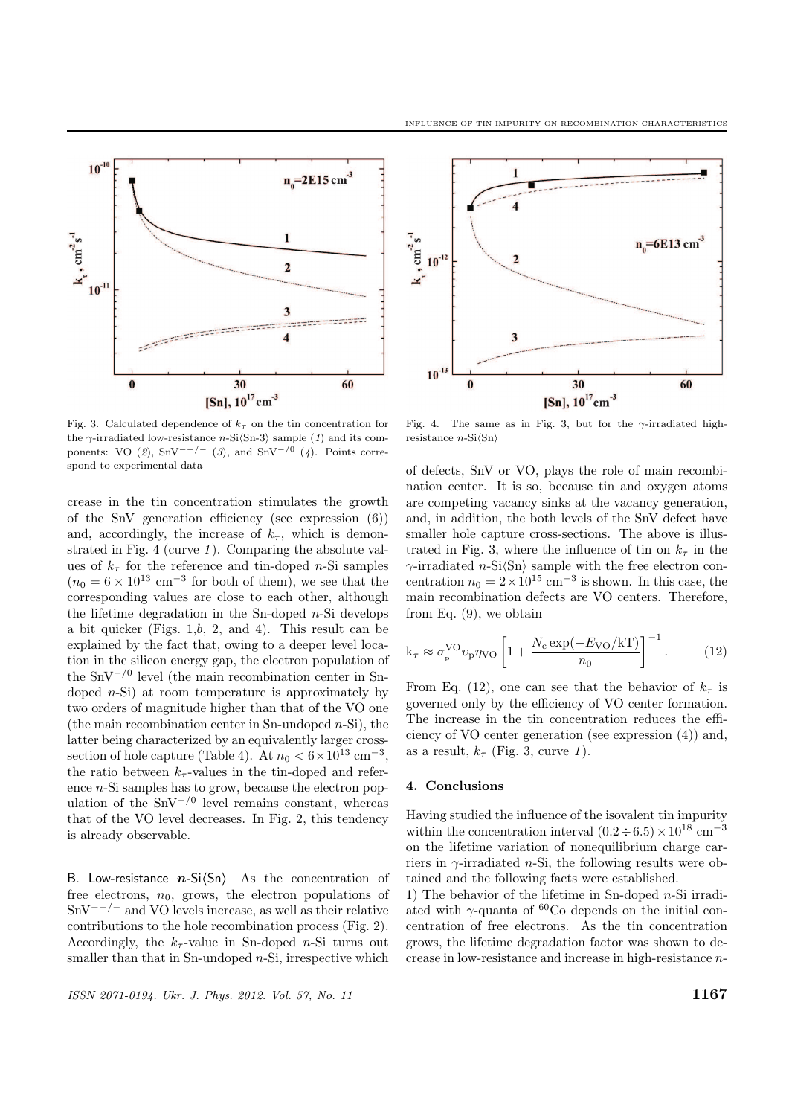

Fig. 3. Calculated dependence of  $k<sub>\tau</sub>$  on the tin concentration for the  $\gamma$ -irradiated low-resistance n-Si $\langle$ Sn-3 $\rangle$  sample (1) and its components: VO (2), SnV<sup>--/-</sup> (3), and SnV<sup>-/0</sup> (4). Points correspond to experimental data

crease in the tin concentration stimulates the growth of the SnV generation efficiency (see expression (6)) and, accordingly, the increase of  $k_{\tau}$ , which is demonstrated in Fig. 4 (curve  $1$ ). Comparing the absolute values of  $k_{\tau}$  for the reference and tin-doped *n*-Si samples  $(n_0 = 6 \times 10^{13} \text{ cm}^{-3} \text{ for both of them}),$  we see that the corresponding values are close to each other, although the lifetime degradation in the Sn-doped  $n$ -Si develops a bit quicker (Figs. 1,b, 2, and 4). This result can be explained by the fact that, owing to a deeper level location in the silicon energy gap, the electron population of the SnV<sup>−</sup>/<sup>0</sup> level (the main recombination center in Sndoped  $n-Si$ ) at room temperature is approximately by two orders of magnitude higher than that of the VO one (the main recombination center in Sn-undoped  $n-Si$ ), the latter being characterized by an equivalently larger crosssection of hole capture (Table 4). At  $n_0 < 6 \times 10^{13}$  cm<sup>-3</sup>, the ratio between  $k_{\tau}$ -values in the tin-doped and reference n-Si samples has to grow, because the electron population of the  $\text{SnV}^{-/0}$  level remains constant, whereas that of the VO level decreases. In Fig. 2, this tendency is already observable.

B. Low-resistance  $n-Si(\text{Sn})$  As the concentration of free electrons,  $n_0$ , grows, the electron populations of  $SnV^{--/-}$  and VO levels increase, as well as their relative contributions to the hole recombination process (Fig. 2). Accordingly, the  $k_{\tau}$ -value in Sn-doped *n*-Si turns out smaller than that in Sn-undoped  $n-Si$ , irrespective which





Fig. 4. The same as in Fig. 3, but for the  $\gamma$ -irradiated highresistance  $n\text{-Si}(\text{Sn})$ 

of defects, SnV or VO, plays the role of main recombination center. It is so, because tin and oxygen atoms are competing vacancy sinks at the vacancy generation, and, in addition, the both levels of the SnV defect have smaller hole capture cross-sections. The above is illustrated in Fig. 3, where the influence of tin on  $k_{\tau}$  in the  $\gamma$ -irradiated *n*-Si $\langle$ Sn $\rangle$  sample with the free electron concentration  $n_0 = 2 \times 10^{15}$  cm<sup>-3</sup> is shown. In this case, the main recombination defects are VO centers. Therefore, from Eq. (9), we obtain

$$
k_{\tau} \approx \sigma_{p}^{\rm VO} v_{p} \eta_{\rm VO} \left[ 1 + \frac{N_{\rm c} \exp(-E_{\rm VO}/k \rm T)}{n_{0}} \right]^{-1}.
$$
 (12)

From Eq. (12), one can see that the behavior of  $k<sub>\tau</sub>$  is governed only by the efficiency of VO center formation. The increase in the tin concentration reduces the efficiency of VO center generation (see expression (4)) and, as a result,  $k_{\tau}$  (Fig. 3, curve 1).

### 4. Conclusions

Having studied the influence of the isovalent tin impurity within the concentration interval  $(0.2 \div 6.5) \times 10^{18}$  cm<sup>-3</sup> on the lifetime variation of nonequilibrium charge carriers in  $\gamma$ -irradiated *n*-Si, the following results were obtained and the following facts were established.

1) The behavior of the lifetime in Sn-doped  $n$ -Si irradiated with  $\gamma$ -quanta of <sup>60</sup>Co depends on the initial concentration of free electrons. As the tin concentration grows, the lifetime degradation factor was shown to decrease in low-resistance and increase in high-resistance n